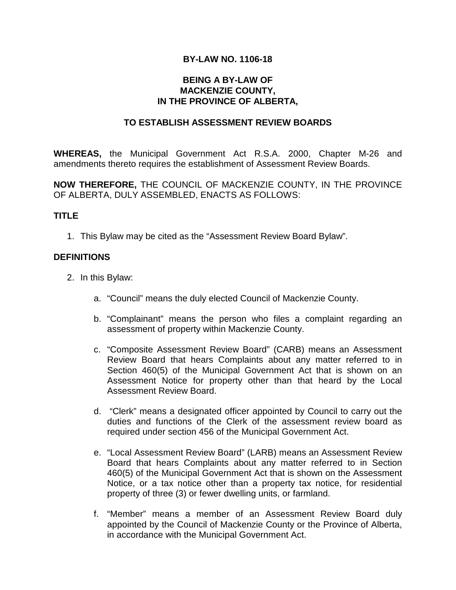### **BY-LAW NO. 1106-18**

### **BEING A BY-LAW OF MACKENZIE COUNTY, IN THE PROVINCE OF ALBERTA,**

#### **TO ESTABLISH ASSESSMENT REVIEW BOARDS**

**WHEREAS,** the Municipal Government Act R.S.A. 2000, Chapter M-26 and amendments thereto requires the establishment of Assessment Review Boards.

**NOW THEREFORE,** THE COUNCIL OF MACKENZIE COUNTY, IN THE PROVINCE OF ALBERTA, DULY ASSEMBLED, ENACTS AS FOLLOWS:

#### **TITLE**

1. This Bylaw may be cited as the "Assessment Review Board Bylaw".

### **DEFINITIONS**

- 2. In this Bylaw:
	- a. "Council" means the duly elected Council of Mackenzie County.
	- b. "Complainant" means the person who files a complaint regarding an assessment of property within Mackenzie County.
	- c. "Composite Assessment Review Board" (CARB) means an Assessment Review Board that hears Complaints about any matter referred to in Section 460(5) of the Municipal Government Act that is shown on an Assessment Notice for property other than that heard by the Local Assessment Review Board.
	- d. "Clerk" means a designated officer appointed by Council to carry out the duties and functions of the Clerk of the assessment review board as required under section 456 of the Municipal Government Act.
	- e. "Local Assessment Review Board" (LARB) means an Assessment Review Board that hears Complaints about any matter referred to in Section 460(5) of the Municipal Government Act that is shown on the Assessment Notice, or a tax notice other than a property tax notice, for residential property of three (3) or fewer dwelling units, or farmland.
	- f. "Member" means a member of an Assessment Review Board duly appointed by the Council of Mackenzie County or the Province of Alberta, in accordance with the Municipal Government Act.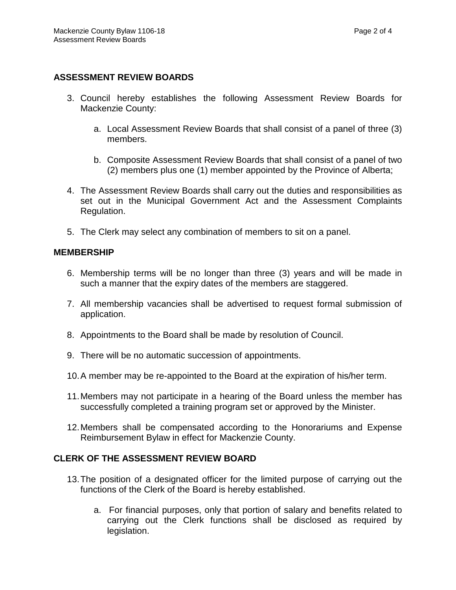# **ASSESSMENT REVIEW BOARDS**

- 3. Council hereby establishes the following Assessment Review Boards for Mackenzie County:
	- a. Local Assessment Review Boards that shall consist of a panel of three (3) members.
	- b. Composite Assessment Review Boards that shall consist of a panel of two (2) members plus one (1) member appointed by the Province of Alberta;
- 4. The Assessment Review Boards shall carry out the duties and responsibilities as set out in the Municipal Government Act and the Assessment Complaints Regulation.
- 5. The Clerk may select any combination of members to sit on a panel.

### **MEMBERSHIP**

- 6. Membership terms will be no longer than three (3) years and will be made in such a manner that the expiry dates of the members are staggered.
- 7. All membership vacancies shall be advertised to request formal submission of application.
- 8. Appointments to the Board shall be made by resolution of Council.
- 9. There will be no automatic succession of appointments.
- 10.A member may be re-appointed to the Board at the expiration of his/her term.
- 11.Members may not participate in a hearing of the Board unless the member has successfully completed a training program set or approved by the Minister.
- 12.Members shall be compensated according to the Honorariums and Expense Reimbursement Bylaw in effect for Mackenzie County.

# **CLERK OF THE ASSESSMENT REVIEW BOARD**

- 13.The position of a designated officer for the limited purpose of carrying out the functions of the Clerk of the Board is hereby established.
	- a. For financial purposes, only that portion of salary and benefits related to carrying out the Clerk functions shall be disclosed as required by legislation.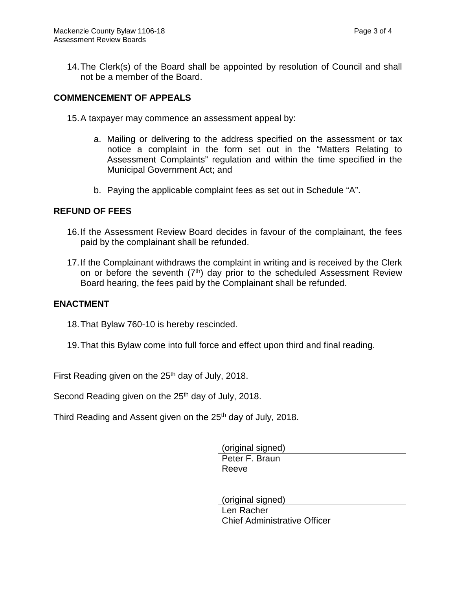14.The Clerk(s) of the Board shall be appointed by resolution of Council and shall not be a member of the Board.

### **COMMENCEMENT OF APPEALS**

- 15.A taxpayer may commence an assessment appeal by:
	- a. Mailing or delivering to the address specified on the assessment or tax notice a complaint in the form set out in the "Matters Relating to Assessment Complaints" regulation and within the time specified in the Municipal Government Act; and
	- b. Paying the applicable complaint fees as set out in Schedule "A".

#### **REFUND OF FEES**

- 16.If the Assessment Review Board decides in favour of the complainant, the fees paid by the complainant shall be refunded.
- 17.If the Complainant withdraws the complaint in writing and is received by the Clerk on or before the seventh  $(7<sup>th</sup>)$  day prior to the scheduled Assessment Review Board hearing, the fees paid by the Complainant shall be refunded.

### **ENACTMENT**

- 18.That Bylaw 760-10 is hereby rescinded.
- 19.That this Bylaw come into full force and effect upon third and final reading.

First Reading given on the  $25<sup>th</sup>$  day of July, 2018.

Second Reading given on the 25<sup>th</sup> day of July, 2018.

Third Reading and Assent given on the 25<sup>th</sup> day of July, 2018.

(original signed) Peter F. Braun Reeve

(original signed) Len Racher Chief Administrative Officer